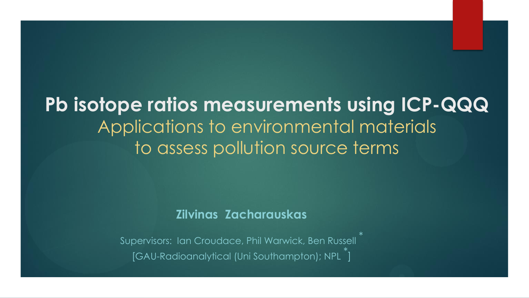## **Pb isotope ratios measurements using ICP-QQQ**  Applications to environmental materials to assess pollution source terms

#### **Zilvinas Zacharauskas**

Supervisors: Ian Croudace, Phil Warwick, Ben Russell [GAU-Radioanalytical (Uni Southampton); NPL ]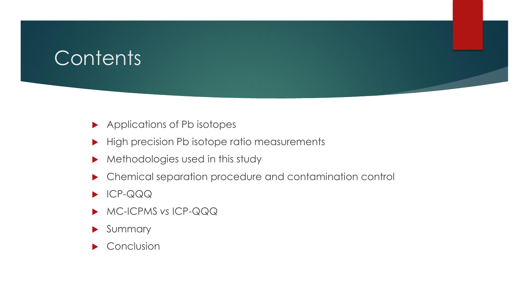# **Contents**

- ▶ Applications of Pb isotopes
- High precision Pb isotope ratio measurements
- Methodologies used in this study
- Chemical separation procedure and contamination control
- **ICP-QQQ**
- MC-ICPMS *vs* ICP-QQQ
- Summary
- $\blacktriangleright$  Conclusion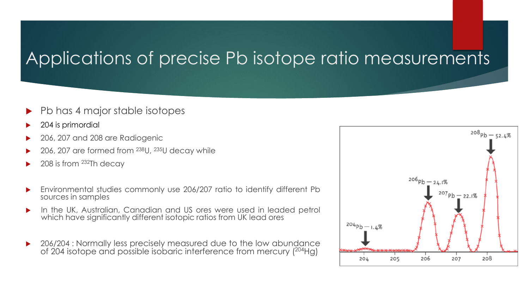### Applications of precise Pb isotope ratio measurements

- Pb has 4 major stable isotopes
- 204 is primordial
- 206, 207 and 208 are Radiogenic
- 206, 207 are formed from <sup>238</sup>U, <sup>235</sup>U decay while
- 208 is from <sup>232</sup>Th decay
- Environmental studies commonly use 206/207 ratio to identify different Pb sources in samples
- **IF In the UK, Australian, Canadian and US ores were used in leaded petrol** which have significantly different isotopic ratios from UK lead ores
- ▶ 206/204 : Normally less precisely measured due to the low abundance of 204 isotope and possible isobaric interference from mercury (204Hg)

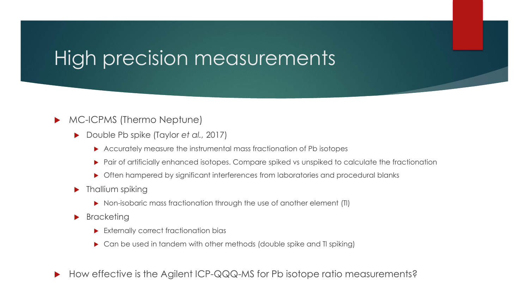# High precision measurements

#### **MC-ICPMS (Thermo Neptune)**

- Double Pb spike (Taylor *et al.,* 2017)
	- Accurately measure the instrumental mass fractionation of Pb isotopes
	- Pair of artificially enhanced isotopes. Compare spiked vs unspiked to calculate the fractionation
	- ▶ Often hampered by significant interferences from laboratories and procedural blanks
- $\blacktriangleright$  Thallium spiking
	- ▶ Non-isobaric mass fractionation through the use of another element (TI)
- **Bracketing** 
	- Externally correct fractionation bias
	- ▶ Can be used in tandem with other methods (double spike and TI spiking)

▶ How effective is the Agilent ICP-QQQ-MS for Pb isotope ratio measurements?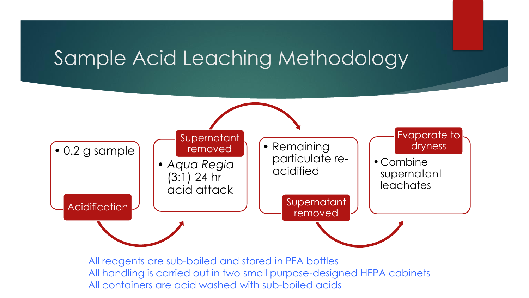# Sample Acid Leaching Methodology



All reagents are sub-boiled and stored in PFA bottles All handling is carried out in two small purpose-designed HEPA cabinets All containers are acid washed with sub-boiled acids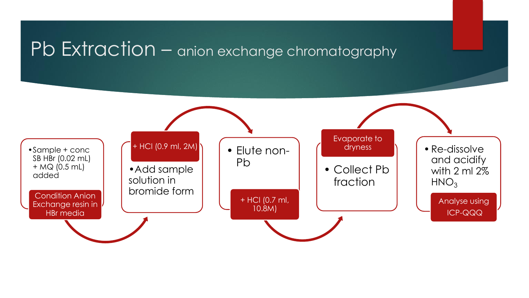### Pb Extraction – anion exchange chromatography

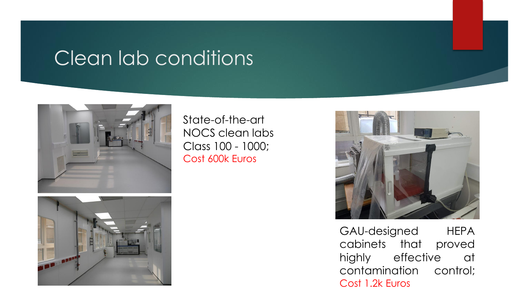# Clean lab conditions



State-of-the-art NOCS clean labs Class 100 - 1000; Cost 600k Euros





GAU-designed HEPA cabinets that proved highly effective at contamination control; Cost 1.2k Euros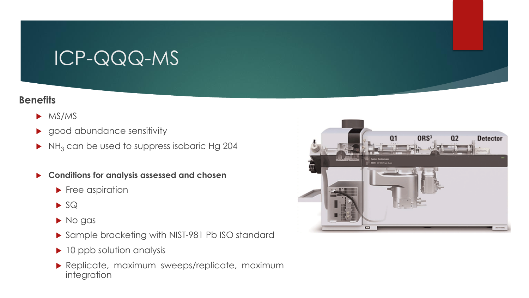# ICP-QQQ-MS

#### **Benefits**

- $\triangleright$  MS/MS
- good abundance sensitivity
- $\blacktriangleright$  NH<sub>3</sub> can be used to suppress isobaric Hg 204
- **Conditions for analysis assessed and chosen**
	- **Free aspiration**
	- $\blacktriangleright$  SQ
	- $\blacktriangleright$  No gas
	- ▶ Sample bracketing with NIST-981 Pb ISO standard
	- ▶ 10 ppb solution analysis
	- Replicate, maximum sweeps/replicate, maximum integration

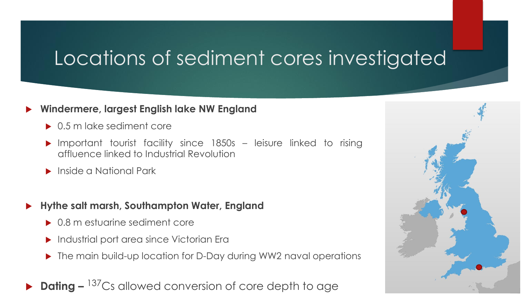# Locations of sediment cores investigated

#### **Windermere, largest English lake NW England**

- ▶ 0.5 m lake sediment core
- Important tourist facility since 1850s leisure linked to rising affluence linked to Industrial Revolution
- **Inside a National Park**
- **Hythe salt marsh, Southampton Water, England**
	- ▶ 0.8 m estuarine sediment core
	- Industrial port area since Victorian Era
	- ▶ The main build-up location for D-Day during WW2 naval operations
- ▶ **Dating** <sup>137</sup>Cs allowed conversion of core depth to age

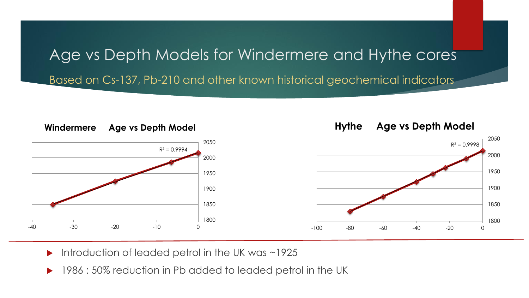# Age vs Depth Models for Windermere and Hythe cores

Based on Cs-137, Pb-210 and other known historical geochemical indicators



- Introduction of leaded petrol in the UK was ~1925
- 1986 : 50% reduction in Pb added to leaded petrol in the UK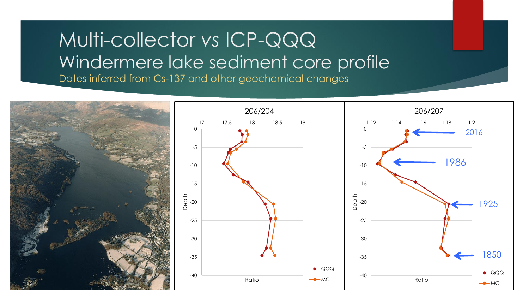### Multi-collector *vs* ICP-QQQ Windermere lake sediment core profile Dates inferred from Cs-137 and other geochemical changes

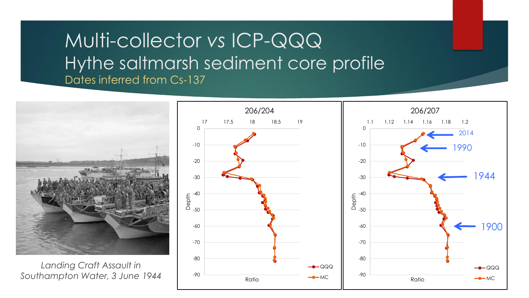### Multi-collector *vs* ICP-QQQ Hythe saltmarsh sediment core profile Dates inferred from Cs-137

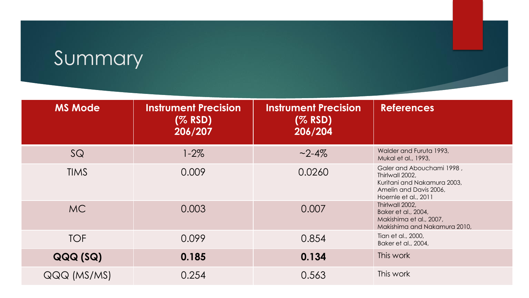# Summary

| <b>MS Mode</b> | <b>Instrument Precision</b><br>(% RSD)<br>206/207 | <b>Instrument Precision</b><br>(% RSD)<br>206/204 | <b>References</b>                                                                                                             |
|----------------|---------------------------------------------------|---------------------------------------------------|-------------------------------------------------------------------------------------------------------------------------------|
| SQ             | $1 - 2\%$                                         | $~2 - 4\%$                                        | Walder and Furuta 1993,<br>Mukal et al., 1993,                                                                                |
| <b>TIMS</b>    | 0.009                                             | 0.0260                                            | Galer and Abouchami 1998,<br>Thirlwall 2002,<br>Kuritani and Nakamura 2003,<br>Amelin and Davis 2006,<br>Hoernle et al., 2011 |
| MC.            | 0.003                                             | 0.007                                             | Thirlwall 2002,<br>Baker et al., 2004,<br>Makishima et al., 2007,<br>Makishima and Nakamura 2010,                             |
| <b>TOF</b>     | 0.099                                             | 0.854                                             | Tian et al., 2000,<br>Baker et al., 2004,                                                                                     |
| QQQ(SQ)        | 0.185                                             | 0.134                                             | This work                                                                                                                     |
| QQQ (MS/MS)    | 0.254                                             | 0.563                                             | This work                                                                                                                     |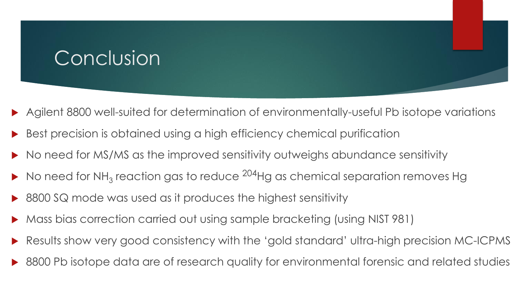# **Conclusion**

- Agilent 8800 well-suited for determination of environmentally-useful Pb isotope variations
- Best precision is obtained using a high efficiency chemical purification
- No need for MS/MS as the improved sensitivity outweighs abundance sensitivity
- $\blacktriangleright$  No need for NH<sub>3</sub> reaction gas to reduce <sup>204</sup>Hg as chemical separation removes Hg
- 8800 SQ mode was used as it produces the highest sensitivity
- Mass bias correction carried out using sample bracketing (using NIST 981)
- Results show very good consistency with the 'gold standard' ultra-high precision MC-ICPMS
- 8800 Pb isotope data are of research quality for environmental forensic and related studies